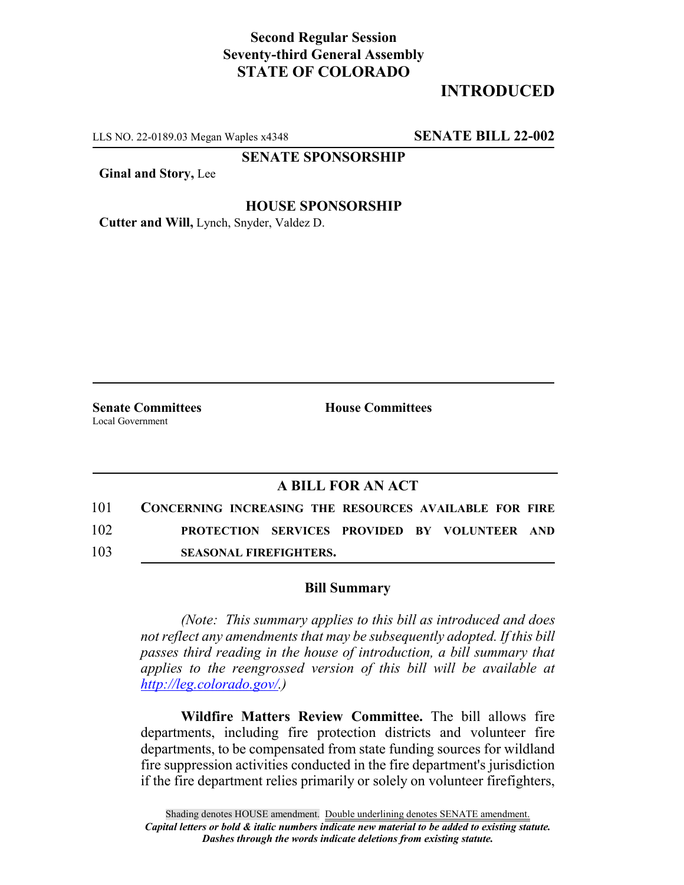# **Second Regular Session Seventy-third General Assembly STATE OF COLORADO**

# **INTRODUCED**

LLS NO. 22-0189.03 Megan Waples x4348 **SENATE BILL 22-002**

**SENATE SPONSORSHIP**

**Ginal and Story,** Lee

### **HOUSE SPONSORSHIP**

**Cutter and Will,** Lynch, Snyder, Valdez D.

Local Government

**Senate Committees House Committees** 

### **A BILL FOR AN ACT**

| 101 | CONCERNING INCREASING THE RESOURCES AVAILABLE FOR FIRE |  |
|-----|--------------------------------------------------------|--|
| 102 | <b>PROTECTION SERVICES PROVIDED BY VOLUNTEER AND</b>   |  |
| 103 | <b>SEASONAL FIREFIGHTERS.</b>                          |  |

#### **Bill Summary**

*(Note: This summary applies to this bill as introduced and does not reflect any amendments that may be subsequently adopted. If this bill passes third reading in the house of introduction, a bill summary that applies to the reengrossed version of this bill will be available at http://leg.colorado.gov/.)*

**Wildfire Matters Review Committee.** The bill allows fire departments, including fire protection districts and volunteer fire departments, to be compensated from state funding sources for wildland fire suppression activities conducted in the fire department's jurisdiction if the fire department relies primarily or solely on volunteer firefighters,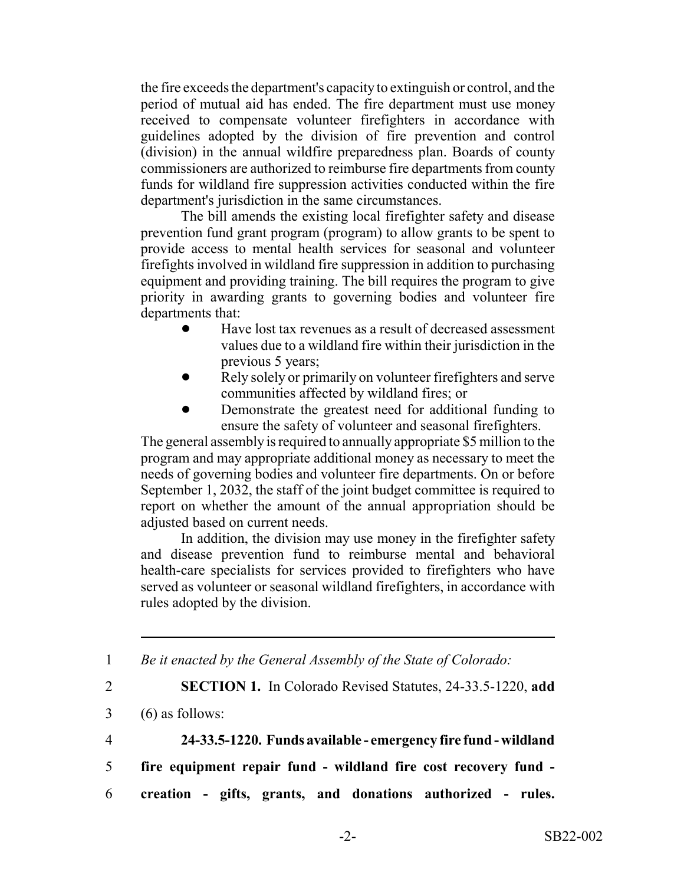the fire exceeds the department's capacity to extinguish or control, and the period of mutual aid has ended. The fire department must use money received to compensate volunteer firefighters in accordance with guidelines adopted by the division of fire prevention and control (division) in the annual wildfire preparedness plan. Boards of county commissioners are authorized to reimburse fire departments from county funds for wildland fire suppression activities conducted within the fire department's jurisdiction in the same circumstances.

The bill amends the existing local firefighter safety and disease prevention fund grant program (program) to allow grants to be spent to provide access to mental health services for seasonal and volunteer firefights involved in wildland fire suppression in addition to purchasing equipment and providing training. The bill requires the program to give priority in awarding grants to governing bodies and volunteer fire departments that:

- ! Have lost tax revenues as a result of decreased assessment values due to a wildland fire within their jurisdiction in the previous 5 years;
- Rely solely or primarily on volunteer firefighters and serve communities affected by wildland fires; or
- Demonstrate the greatest need for additional funding to ensure the safety of volunteer and seasonal firefighters.

The general assembly is required to annually appropriate \$5 million to the program and may appropriate additional money as necessary to meet the needs of governing bodies and volunteer fire departments. On or before September 1, 2032, the staff of the joint budget committee is required to report on whether the amount of the annual appropriation should be adjusted based on current needs.

In addition, the division may use money in the firefighter safety and disease prevention fund to reimburse mental and behavioral health-care specialists for services provided to firefighters who have served as volunteer or seasonal wildland firefighters, in accordance with rules adopted by the division.

1 *Be it enacted by the General Assembly of the State of Colorado:*

2 **SECTION 1.** In Colorado Revised Statutes, 24-33.5-1220, **add**

- 3 (6) as follows:
- 

4 **24-33.5-1220. Funds available - emergency fire fund - wildland**

- 5 **fire equipment repair fund wildland fire cost recovery fund -**
- 6 **creation gifts, grants, and donations authorized rules.**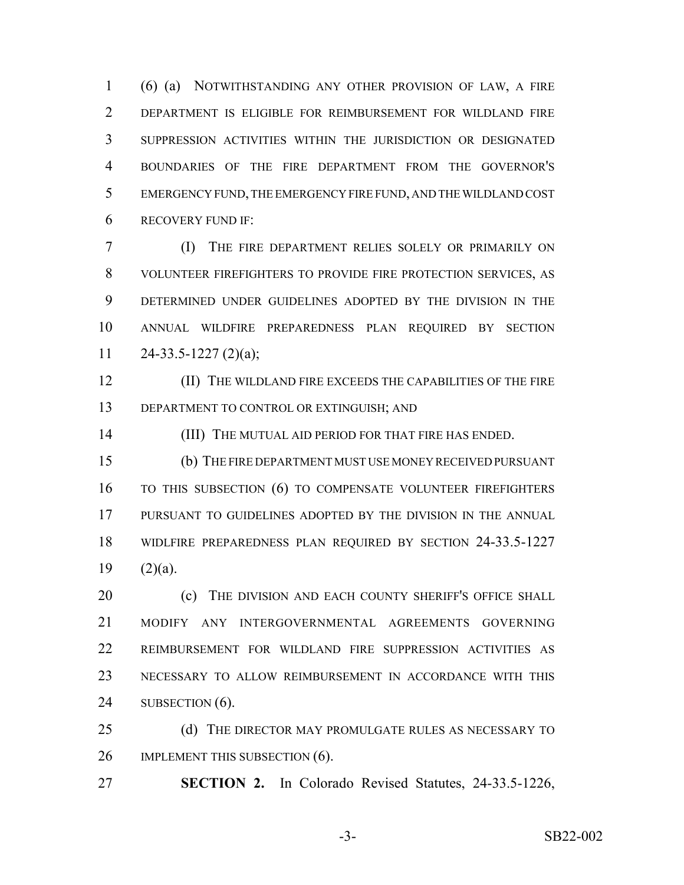(6) (a) NOTWITHSTANDING ANY OTHER PROVISION OF LAW, A FIRE DEPARTMENT IS ELIGIBLE FOR REIMBURSEMENT FOR WILDLAND FIRE SUPPRESSION ACTIVITIES WITHIN THE JURISDICTION OR DESIGNATED BOUNDARIES OF THE FIRE DEPARTMENT FROM THE GOVERNOR'S EMERGENCY FUND, THE EMERGENCY FIRE FUND, AND THE WILDLAND COST RECOVERY FUND IF:

 (I) THE FIRE DEPARTMENT RELIES SOLELY OR PRIMARILY ON VOLUNTEER FIREFIGHTERS TO PROVIDE FIRE PROTECTION SERVICES, AS DETERMINED UNDER GUIDELINES ADOPTED BY THE DIVISION IN THE ANNUAL WILDFIRE PREPAREDNESS PLAN REQUIRED BY SECTION  $24-33.5-1227(2)(a);$ 

 (II) THE WILDLAND FIRE EXCEEDS THE CAPABILITIES OF THE FIRE 13 DEPARTMENT TO CONTROL OR EXTINGUISH; AND

14 (III) THE MUTUAL AID PERIOD FOR THAT FIRE HAS ENDED.

 (b) THE FIRE DEPARTMENT MUST USE MONEY RECEIVED PURSUANT TO THIS SUBSECTION (6) TO COMPENSATE VOLUNTEER FIREFIGHTERS PURSUANT TO GUIDELINES ADOPTED BY THE DIVISION IN THE ANNUAL WIDLFIRE PREPAREDNESS PLAN REQUIRED BY SECTION 24-33.5-1227  $(2)(a)$ .

20 (c) THE DIVISION AND EACH COUNTY SHERIFF'S OFFICE SHALL MODIFY ANY INTERGOVERNMENTAL AGREEMENTS GOVERNING REIMBURSEMENT FOR WILDLAND FIRE SUPPRESSION ACTIVITIES AS NECESSARY TO ALLOW REIMBURSEMENT IN ACCORDANCE WITH THIS 24 SUBSECTION (6).

25 (d) THE DIRECTOR MAY PROMULGATE RULES AS NECESSARY TO 26 IMPLEMENT THIS SUBSECTION (6).

**SECTION 2.** In Colorado Revised Statutes, 24-33.5-1226,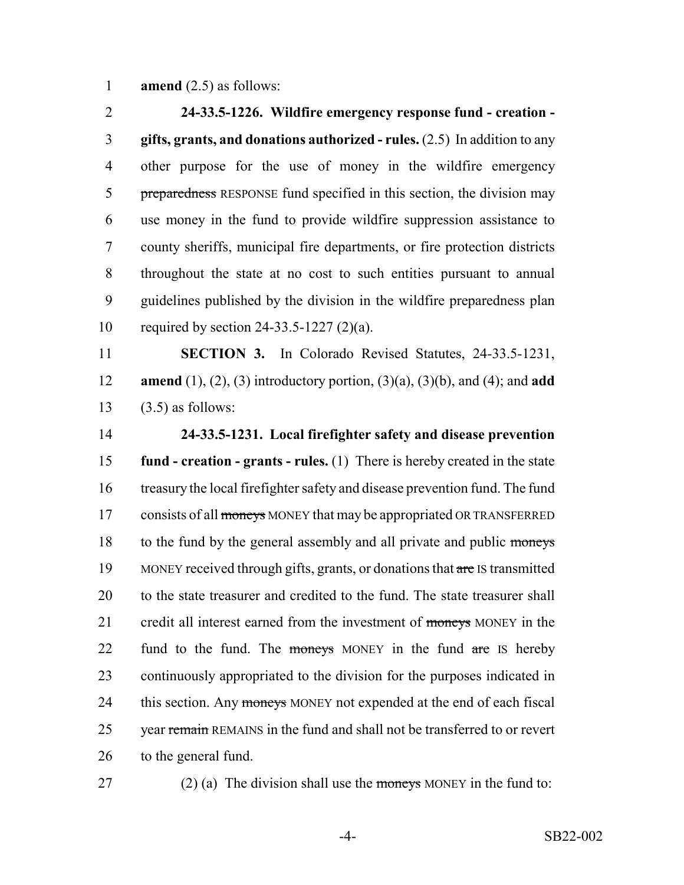**amend** (2.5) as follows:

 **24-33.5-1226. Wildfire emergency response fund - creation - gifts, grants, and donations authorized - rules.** (2.5) In addition to any other purpose for the use of money in the wildfire emergency 5 preparedness RESPONSE fund specified in this section, the division may use money in the fund to provide wildfire suppression assistance to county sheriffs, municipal fire departments, or fire protection districts throughout the state at no cost to such entities pursuant to annual guidelines published by the division in the wildfire preparedness plan required by section 24-33.5-1227 (2)(a).

 **SECTION 3.** In Colorado Revised Statutes, 24-33.5-1231, **amend** (1), (2), (3) introductory portion, (3)(a), (3)(b), and (4); and **add** (3.5) as follows:

 **24-33.5-1231. Local firefighter safety and disease prevention fund - creation - grants - rules.** (1) There is hereby created in the state treasury the local firefighter safety and disease prevention fund. The fund 17 consists of all moneys MONEY that may be appropriated OR TRANSFERRED 18 to the fund by the general assembly and all private and public moneys 19 MONEY received through gifts, grants, or donations that are IS transmitted to the state treasurer and credited to the fund. The state treasurer shall 21 credit all interest earned from the investment of moneys MONEY in the 22 fund to the fund. The moneys MONEY in the fund are IS hereby continuously appropriated to the division for the purposes indicated in 24 this section. Any moneys MONEY not expended at the end of each fiscal 25 year remain REMAINS in the fund and shall not be transferred to or revert to the general fund.

27 (2) (a) The division shall use the moneys MONEY in the fund to: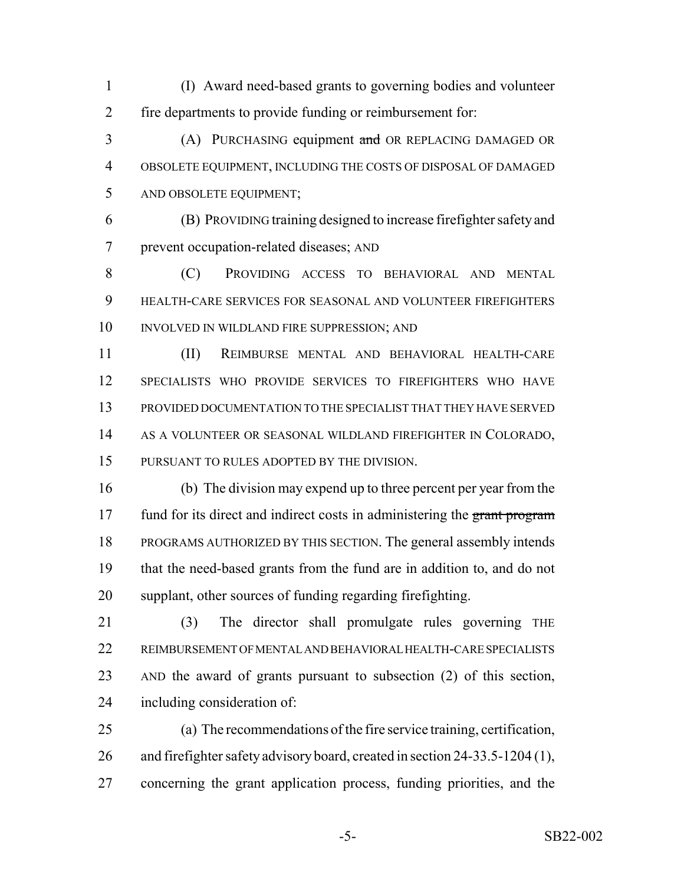(I) Award need-based grants to governing bodies and volunteer fire departments to provide funding or reimbursement for:

3 (A) PURCHASING equipment and OR REPLACING DAMAGED OR OBSOLETE EQUIPMENT, INCLUDING THE COSTS OF DISPOSAL OF DAMAGED AND OBSOLETE EQUIPMENT;

 (B) PROVIDING training designed to increase firefighter safety and prevent occupation-related diseases; AND

 (C) PROVIDING ACCESS TO BEHAVIORAL AND MENTAL HEALTH-CARE SERVICES FOR SEASONAL AND VOLUNTEER FIREFIGHTERS INVOLVED IN WILDLAND FIRE SUPPRESSION; AND

 (II) REIMBURSE MENTAL AND BEHAVIORAL HEALTH-CARE SPECIALISTS WHO PROVIDE SERVICES TO FIREFIGHTERS WHO HAVE PROVIDED DOCUMENTATION TO THE SPECIALIST THAT THEY HAVE SERVED AS A VOLUNTEER OR SEASONAL WILDLAND FIREFIGHTER IN COLORADO, PURSUANT TO RULES ADOPTED BY THE DIVISION.

 (b) The division may expend up to three percent per year from the 17 fund for its direct and indirect costs in administering the grant program PROGRAMS AUTHORIZED BY THIS SECTION. The general assembly intends that the need-based grants from the fund are in addition to, and do not supplant, other sources of funding regarding firefighting.

21 (3) The director shall promulgate rules governing THE REIMBURSEMENT OF MENTAL AND BEHAVIORAL HEALTH-CARE SPECIALISTS AND the award of grants pursuant to subsection (2) of this section, including consideration of:

 (a) The recommendations of the fire service training, certification, and firefighter safety advisory board, created in section 24-33.5-1204 (1), concerning the grant application process, funding priorities, and the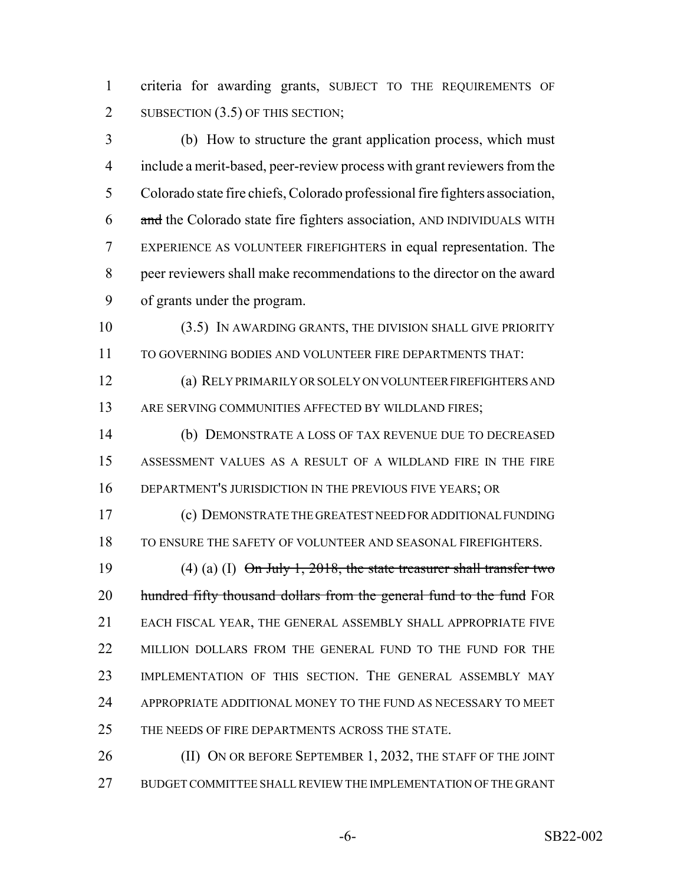criteria for awarding grants, SUBJECT TO THE REQUIREMENTS OF 2 SUBSECTION (3.5) OF THIS SECTION;

 (b) How to structure the grant application process, which must include a merit-based, peer-review process with grant reviewers from the Colorado state fire chiefs, Colorado professional fire fighters association, 6 and the Colorado state fire fighters association, AND INDIVIDUALS WITH EXPERIENCE AS VOLUNTEER FIREFIGHTERS in equal representation. The peer reviewers shall make recommendations to the director on the award of grants under the program.

 (3.5) IN AWARDING GRANTS, THE DIVISION SHALL GIVE PRIORITY TO GOVERNING BODIES AND VOLUNTEER FIRE DEPARTMENTS THAT:

 (a) RELY PRIMARILY OR SOLELY ON VOLUNTEER FIREFIGHTERS AND 13 ARE SERVING COMMUNITIES AFFECTED BY WILDLAND FIRES;

 (b) DEMONSTRATE A LOSS OF TAX REVENUE DUE TO DECREASED ASSESSMENT VALUES AS A RESULT OF A WILDLAND FIRE IN THE FIRE DEPARTMENT'S JURISDICTION IN THE PREVIOUS FIVE YEARS; OR

 (c) DEMONSTRATE THE GREATEST NEED FOR ADDITIONAL FUNDING TO ENSURE THE SAFETY OF VOLUNTEER AND SEASONAL FIREFIGHTERS.

19 (4) (a) (I)  $\Theta$ n July 1, 2018, the state treasurer shall transfer two 20 hundred fifty thousand dollars from the general fund to the fund FOR EACH FISCAL YEAR, THE GENERAL ASSEMBLY SHALL APPROPRIATE FIVE 22 MILLION DOLLARS FROM THE GENERAL FUND TO THE FUND FOR THE IMPLEMENTATION OF THIS SECTION. THE GENERAL ASSEMBLY MAY APPROPRIATE ADDITIONAL MONEY TO THE FUND AS NECESSARY TO MEET 25 THE NEEDS OF FIRE DEPARTMENTS ACROSS THE STATE.

26 (II) ON OR BEFORE SEPTEMBER 1, 2032, THE STAFF OF THE JOINT BUDGET COMMITTEE SHALL REVIEW THE IMPLEMENTATION OF THE GRANT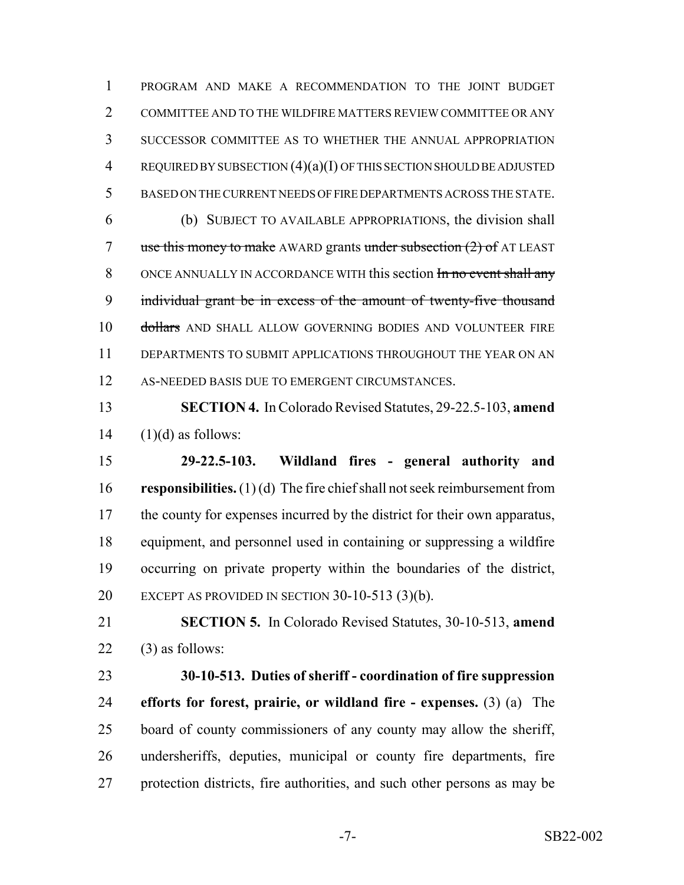PROGRAM AND MAKE A RECOMMENDATION TO THE JOINT BUDGET COMMITTEE AND TO THE WILDFIRE MATTERS REVIEW COMMITTEE OR ANY SUCCESSOR COMMITTEE AS TO WHETHER THE ANNUAL APPROPRIATION REQUIRED BY SUBSECTION (4)(a)(I) OF THIS SECTION SHOULD BE ADJUSTED BASED ON THE CURRENT NEEDS OF FIRE DEPARTMENTS ACROSS THE STATE. (b) SUBJECT TO AVAILABLE APPROPRIATIONS, the division shall 7 use this money to make AWARD grants under subsection (2) of AT LEAST 8 ONCE ANNUALLY IN ACCORDANCE WITH this section In no event shall any individual grant be in excess of the amount of twenty-five thousand 10 dollars AND SHALL ALLOW GOVERNING BODIES AND VOLUNTEER FIRE DEPARTMENTS TO SUBMIT APPLICATIONS THROUGHOUT THE YEAR ON AN 12 AS-NEEDED BASIS DUE TO EMERGENT CIRCUMSTANCES.

 **SECTION 4.** In Colorado Revised Statutes, 29-22.5-103, **amend** (1)(d) as follows:

 **29-22.5-103. Wildland fires - general authority and responsibilities.** (1) (d) The fire chief shall not seek reimbursement from 17 the county for expenses incurred by the district for their own apparatus, equipment, and personnel used in containing or suppressing a wildfire occurring on private property within the boundaries of the district, EXCEPT AS PROVIDED IN SECTION 30-10-513 (3)(b).

 **SECTION 5.** In Colorado Revised Statutes, 30-10-513, **amend** (3) as follows:

 **30-10-513. Duties of sheriff - coordination of fire suppression efforts for forest, prairie, or wildland fire - expenses.** (3) (a) The board of county commissioners of any county may allow the sheriff, undersheriffs, deputies, municipal or county fire departments, fire protection districts, fire authorities, and such other persons as may be